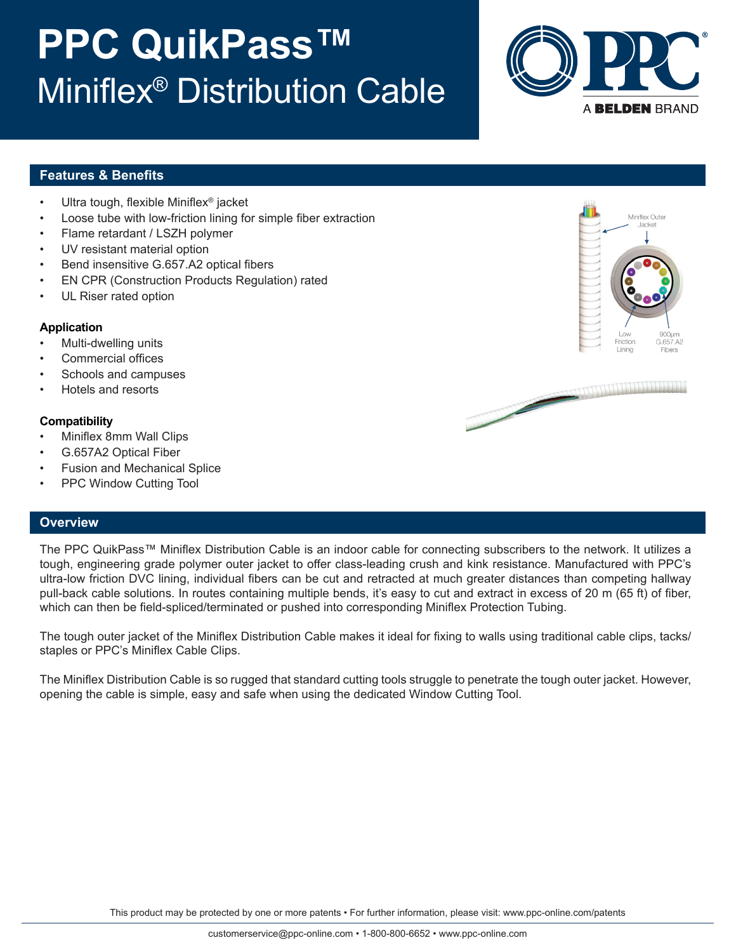# **PPC QuikPass™** Miniflex® Distribution Cable



### **Features & Benefits**

- Ultra tough, flexible Miniflex® jacket
- Loose tube with low-friction lining for simple fiber extraction
- Flame retardant / LSZH polymer
- UV resistant material option
- Bend insensitive G.657.A2 optical fibers
- EN CPR (Construction Products Regulation) rated
- UL Riser rated option

#### **Application**

- Multi-dwelling units
- Commercial offices
- Schools and campuses
- Hotels and resorts

#### **Compatibility**

- Miniflex 8mm Wall Clips
- G.657A2 Optical Fiber
- Fusion and Mechanical Splice
- PPC Window Cutting Tool

#### **Overview**

The PPC QuikPass™ Miniflex Distribution Cable is an indoor cable for connecting subscribers to the network. It utilizes a tough, engineering grade polymer outer jacket to offer class-leading crush and kink resistance. Manufactured with PPC's ultra-low friction DVC lining, individual fibers can be cut and retracted at much greater distances than competing hallway pull-back cable solutions. In routes containing multiple bends, it's easy to cut and extract in excess of 20 m (65 ft) of fiber, which can then be field-spliced/terminated or pushed into corresponding Miniflex Protection Tubing.

The tough outer jacket of the Miniflex Distribution Cable makes it ideal for fixing to walls using traditional cable clips, tacks/ staples or PPC's Miniflex Cable Clips.

The Miniflex Distribution Cable is so rugged that standard cutting tools struggle to penetrate the tough outer jacket. However, opening the cable is simple, easy and safe when using the dedicated Window Cutting Tool.